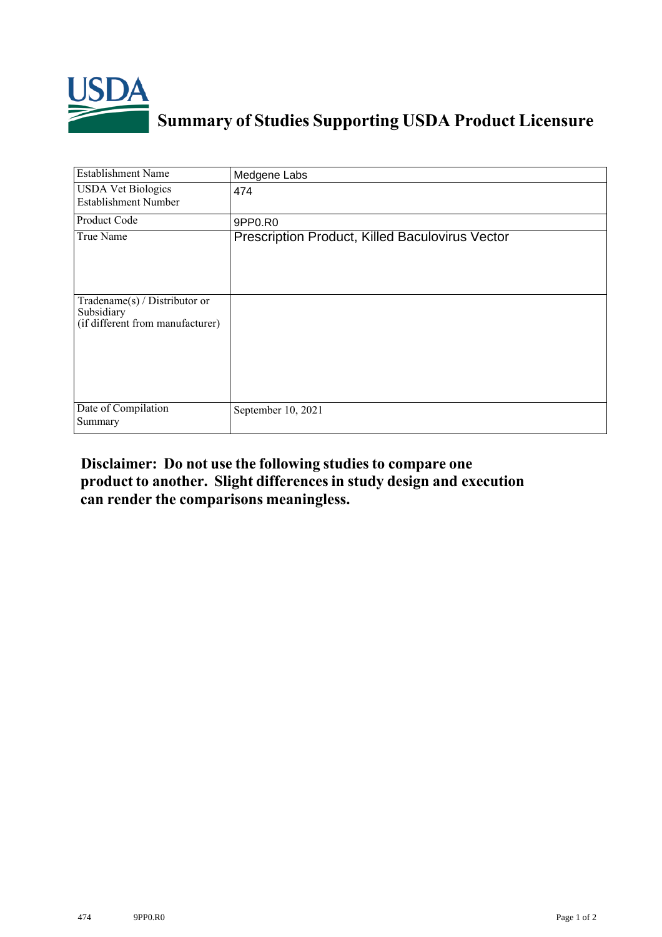

## **Summary of Studies Supporting USDA Product Licensure**

| <b>Establishment Name</b>                                                          | Medgene Labs                                           |
|------------------------------------------------------------------------------------|--------------------------------------------------------|
| <b>USDA Vet Biologics</b><br><b>Establishment Number</b>                           | 474                                                    |
| Product Code                                                                       | 9PP0.R0                                                |
| True Name                                                                          | <b>Prescription Product, Killed Baculovirus Vector</b> |
| Tradename $(s)$ / Distributor or<br>Subsidiary<br>(if different from manufacturer) |                                                        |
| Date of Compilation<br>Summary                                                     | September 10, 2021                                     |

## **Disclaimer: Do not use the following studiesto compare one product to another. Slight differencesin study design and execution can render the comparisons meaningless.**